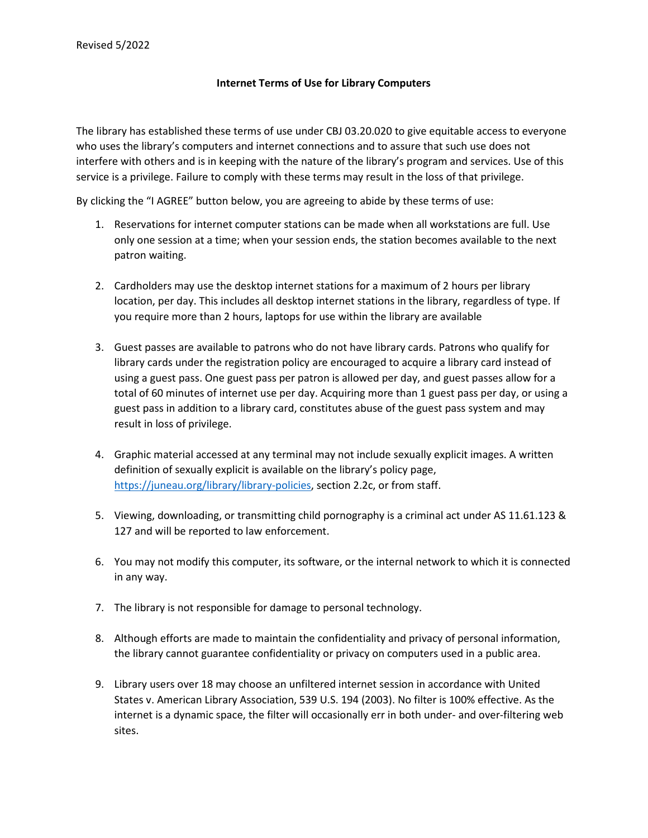## **Internet Terms of Use for Library Computers**

The library has established these terms of use under CBJ 03.20.020 to give equitable access to everyone who uses the library's computers and internet connections and to assure that such use does not interfere with others and is in keeping with the nature of the library's program and services. Use of this service is a privilege. Failure to comply with these terms may result in the loss of that privilege.

By clicking the "I AGREE" button below, you are agreeing to abide by these terms of use:

- 1. Reservations for internet computer stations can be made when all workstations are full. Use only one session at a time; when your session ends, the station becomes available to the next patron waiting.
- 2. Cardholders may use the desktop internet stations for a maximum of 2 hours per library location, per day. This includes all desktop internet stations in the library, regardless of type. If you require more than 2 hours, laptops for use within the library are available
- 3. Guest passes are available to patrons who do not have library cards. Patrons who qualify for library cards under the registration policy are encouraged to acquire a library card instead of using a guest pass. One guest pass per patron is allowed per day, and guest passes allow for a total of 60 minutes of internet use per day. Acquiring more than 1 guest pass per day, or using a guest pass in addition to a library card, constitutes abuse of the guest pass system and may result in loss of privilege.
- 4. Graphic material accessed at any terminal may not include sexually explicit images. A written definition of sexually explicit is available on the library's policy page, [https://juneau.org/library/library-policies,](https://juneau.org/library/library-policies) section 2.2c, or from staff.
- 5. Viewing, downloading, or transmitting child pornography is a criminal act under AS 11.61.123 & 127 and will be reported to law enforcement.
- 6. You may not modify this computer, its software, or the internal network to which it is connected in any way.
- 7. The library is not responsible for damage to personal technology.
- 8. Although efforts are made to maintain the confidentiality and privacy of personal information, the library cannot guarantee confidentiality or privacy on computers used in a public area.
- 9. Library users over 18 may choose an unfiltered internet session in accordance with United States v. American Library Association, 539 U.S. 194 (2003). No filter is 100% effective. As the internet is a dynamic space, the filter will occasionally err in both under- and over-filtering web sites.